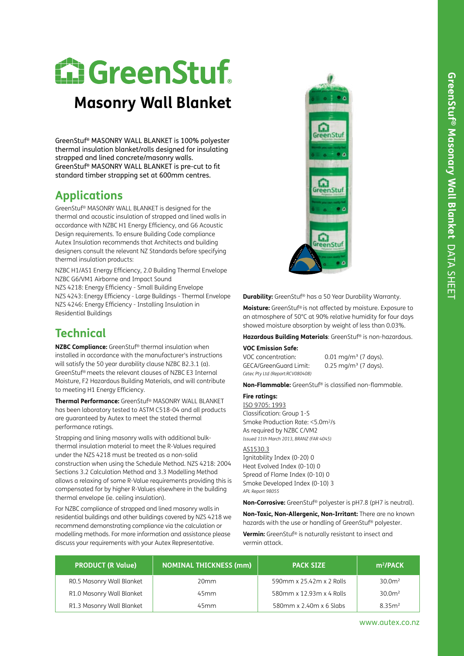# **E. GreenStuf.**

## **Masonry Wall Blanket**

GreenStuf® MASONRY WALL BLANKET is 100% polyester thermal insulation blanket/rolls designed for insulating strapped and lined concrete/masonry walls. GreenStuf® MASONRY WALL BLANKET is pre-cut to fit standard timber strapping set at 600mm centres.

### **Applications**

GreenStuf® MASONRY WALL BLANKET is designed for the thermal and acoustic insulation of strapped and lined walls in accordance with NZBC H1 Energy Efficiency, and G6 Acoustic Design requirements. To ensure Building Code compliance Autex Insulation recommends that Architects and building designers consult the relevant NZ Standards before specifying thermal insulation products:

NZBC H1/AS1 Energy Efficiency, 2.0 Building Thermal Envelope NZBC G6/VM1 Airborne and Impact Sound NZS 4218: Energy Efficiency - Small Building Envelope NZS 4243: Energy Efficiency - Large Buildings - Thermal Envelope NZS 4246: Energy Efficiency - Installing Insulation in Residential Buildings

## **Technical**

**NZBC Compliance:** GreenStuf® thermal insulation when installed in accordance with the manufacturer's instructions will satisfy the 50 year durability clause NZBC B2.3.1 (a). GreenStuf® meets the relevant clauses of NZBC E3 Internal Moisture, F2 Hazardous Building Materials, and will contribute to meeting H1 Energy Efficiency.

**Thermal Performance:** GreenStuf® MASONRY WALL BLANKET has been laboratory tested to ASTM C518-04 and all products are guaranteed by Autex to meet the stated thermal performance ratings.

Strapping and lining masonry walls with additional bulkthermal insulation material to meet the R-Values required under the NZS 4218 must be treated as a non-solid construction when using the Schedule Method. NZS 4218: 2004 Sections 3.2 Calculation Method and 3.3 Modelling Method allows a relaxing of some R-Value requirements providing this is compensated for by higher R-Values elsewhere in the building thermal envelope (ie. ceiling insulation).

For NZBC compliance of strapped and lined masonry walls in residential buildings and other buildings covered by NZS 4218 we recommend demonstrating compliance via the calculation or modelling methods. For more information and assistance please discuss your requirements with your Autex Representative.



**Durability:** GreenStuf® has a 50 Year Durability Warranty.

**Moisture:** GreenStuf® is not affected by moisture. Exposure to an atmosphere of 50°C at 90% relative humidity for four days showed moisture absorption by weight of less than 0.03%.

**Hazardous Building Materials**: GreenStuf® is non-hazardous.

#### **VOC Emission Safe:**

| VOC concentration:               | $0.01 \text{ mg/m}^3$ (7 days). |
|----------------------------------|---------------------------------|
| GECA/GreenGuard Limit:           | $0.25 \text{ mg/m}^3$ (7 days). |
| Cetec Pty Ltd (Report:RCV080408) |                                 |

**Non-Flammable:** GreenStuf® is classified non-flammable.

#### **Fire ratings:**

ISO 9705: 1993 Classification: Group 1-S Smoke Production Rate: <5.0m2/s As required by NZBC C/VM2 *Issued 11th March 2013, BRANZ (FAR 4045)* 

#### AS1530.3

Ignitability Index (0-20) 0 Heat Evolved Index (0-10) 0 Spread of Flame Index (0-10) 0 Smoke Developed Index (0-10) 3 *APL Report 98055*

**Non-Corrosive:** GreenStuf® polyester is pH7.8 (pH7 is neutral).

**Non-Toxic, Non-Allergenic, Non-Irritant:** There are no known hazards with the use or handling of GreenStuf® polyester.

**Vermin:** GreenStuf® is naturally resistant to insect and vermin attack.

| <b>PRODUCT (R Value)</b>  | NOMINAL THICKNESS (mm) | <b>PACK SIZE</b>         | m <sup>2</sup> /PACK |
|---------------------------|------------------------|--------------------------|----------------------|
| R0.5 Masonry Wall Blanket | 20 <sub>mm</sub>       | 590mm x 25.42m x 2 Rolls | 30.0 <sup>m²</sup>   |
| R1.0 Masonry Wall Blanket | 45 <sub>mm</sub>       | 580mm x 12.93m x 4 Rolls | 30.0 <sup>m²</sup>   |
| R1.3 Masonry Wall Blanket | 45 <sub>mm</sub>       | 580mm x 2.40m x 6 Slabs  | 8.35m <sup>2</sup>   |